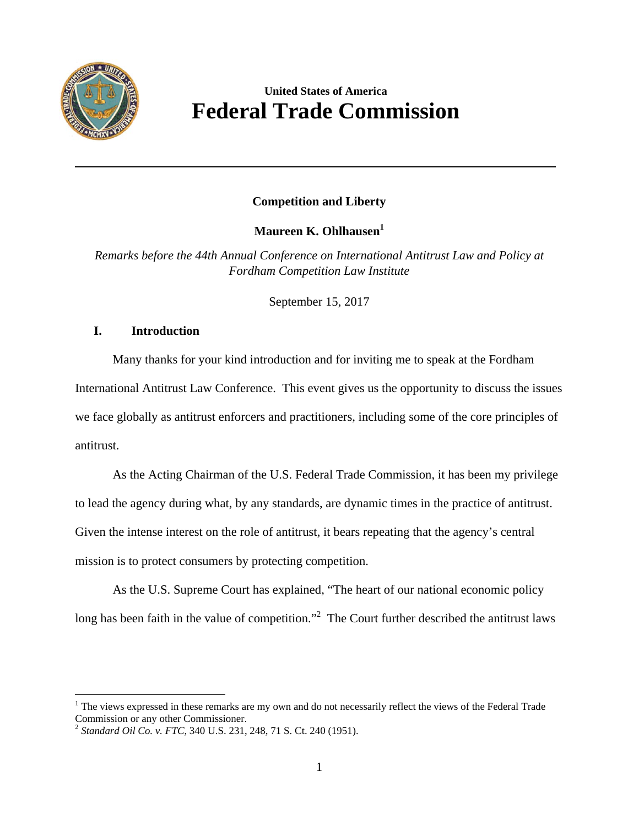

<u>.</u>

# **United States of America Federal Trade Commission**

# **Competition and Liberty**

**Maureen K. Ohlhausen<sup>1</sup>**

*Remarks before the 44th Annual Conference on International Antitrust Law and Policy at Fordham Competition Law Institute* 

September 15, 2017

# **I. Introduction**

Many thanks for your kind introduction and for inviting me to speak at the Fordham International Antitrust Law Conference. This event gives us the opportunity to discuss the issues we face globally as antitrust enforcers and practitioners, including some of the core principles of antitrust.

As the Acting Chairman of the U.S. Federal Trade Commission, it has been my privilege to lead the agency during what, by any standards, are dynamic times in the practice of antitrust. Given the intense interest on the role of antitrust, it bears repeating that the agency's central mission is to protect consumers by protecting competition.

As the U.S. Supreme Court has explained, "The heart of our national economic policy long has been faith in the value of competition."<sup>2</sup> The Court further described the antitrust laws

 $1$  The views expressed in these remarks are my own and do not necessarily reflect the views of the Federal Trade Commission or any other Commissioner.

 <sup>2</sup>*Standard Oil Co. v. FTC*, 340 U.S. 231, 248, 71 S. Ct. 240 (1951).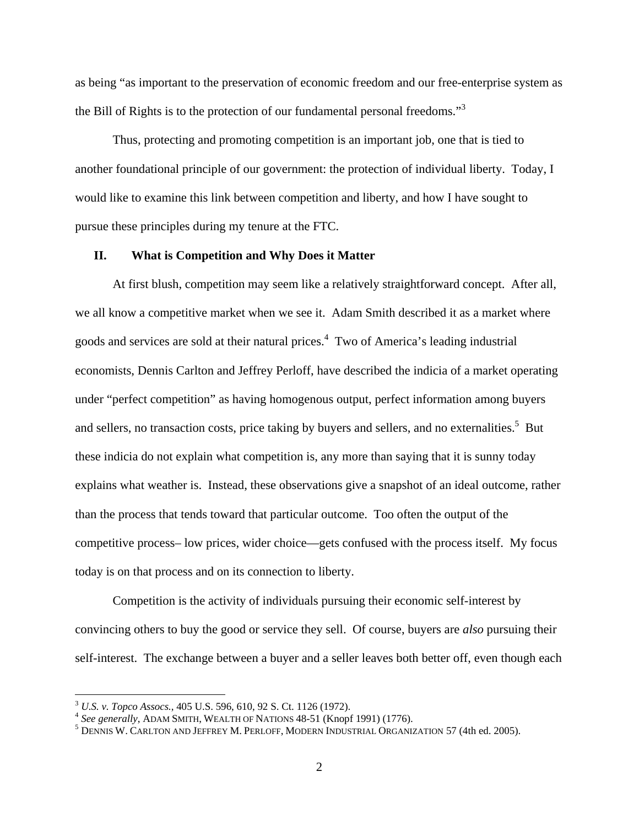the Bill of Rights is to the protection of our fundamental personal freedoms."<sup>3</sup> as being "as important to the preservation of economic freedom and our free-enterprise system as

Thus, protecting and promoting competition is an important job, one that is tied to another foundational principle of our government: the protection of individual liberty. Today, I would like to examine this link between competition and liberty, and how I have sought to pursue these principles during my tenure at the FTC.

#### **II. What is Competition and Why Does it Matter**

At first blush, competition may seem like a relatively straightforward concept. After all, we all know a competitive market when we see it. Adam Smith described it as a market where goods and services are sold at their natural prices.<sup>4</sup> Two of America's leading industrial economists, Dennis Carlton and Jeffrey Perloff, have described the indicia of a market operating under "perfect competition" as having homogenous output, perfect information among buyers and sellers, no transaction costs, price taking by buyers and sellers, and no externalities.<sup>5</sup> But these indicia do not explain what competition is, any more than saying that it is sunny today explains what weather is. Instead, these observations give a snapshot of an ideal outcome, rather than the process that tends toward that particular outcome. Too often the output of the competitive process– low prices, wider choice—gets confused with the process itself. My focus today is on that process and on its connection to liberty.

Competition is the activity of individuals pursuing their economic self-interest by convincing others to buy the good or service they sell. Of course, buyers are *also* pursuing their self-interest. The exchange between a buyer and a seller leaves both better off, even though each

<u>.</u>

<sup>&</sup>lt;sup>3</sup> U.S. v. Topco Assocs., 405 U.S. 596, 610, 92 S. Ct. 1126 (1972).<br><sup>4</sup> See generally, ADAM SMITH, WEALTH OF NATIONS 48-51 (Knopf 1991) (1776).

 DENNIS W. CARLTON AND JEFFREY M. PERLOFF, MODERN INDUSTRIAL ORGANIZATION 57 (4th ed. 2005).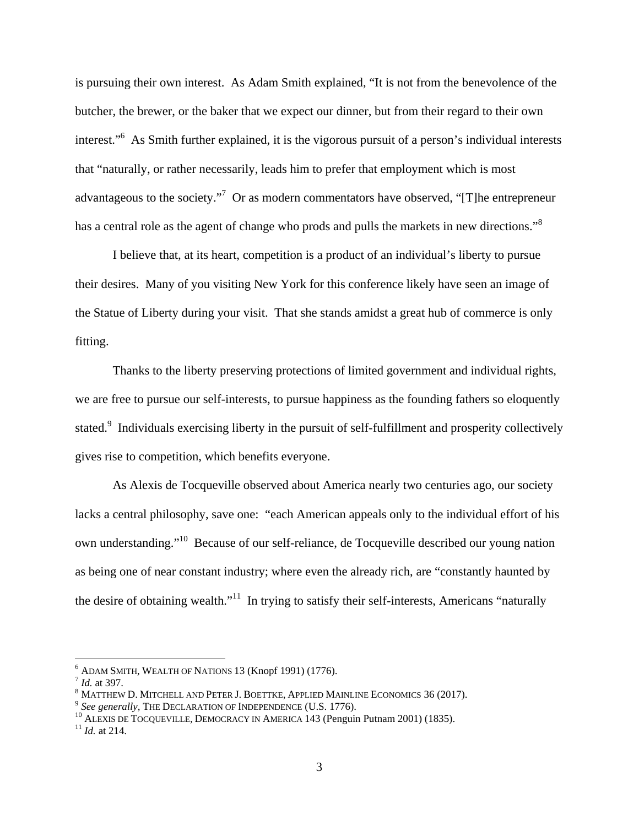has a central role as the agent of change who prods and pulls the markets in new directions."<sup>8</sup> is pursuing their own interest. As Adam Smith explained, "It is not from the benevolence of the butcher, the brewer, or the baker that we expect our dinner, but from their regard to their own interest."6 As Smith further explained, it is the vigorous pursuit of a person's individual interests that "naturally, or rather necessarily, leads him to prefer that employment which is most advantageous to the society."<sup>7</sup> Or as modern commentators have observed, "[T]he entrepreneur

I believe that, at its heart, competition is a product of an individual's liberty to pursue their desires. Many of you visiting New York for this conference likely have seen an image of the Statue of Liberty during your visit. That she stands amidst a great hub of commerce is only fitting.

Thanks to the liberty preserving protections of limited government and individual rights, we are free to pursue our self-interests, to pursue happiness as the founding fathers so eloquently stated.<sup>9</sup> Individuals exercising liberty in the pursuit of self-fulfillment and prosperity collectively gives rise to competition, which benefits everyone.

As Alexis de Tocqueville observed about America nearly two centuries ago, our society lacks a central philosophy, save one: "each American appeals only to the individual effort of his own understanding."10 Because of our self-reliance, de Tocqueville described our young nation as being one of near constant industry; where even the already rich, are "constantly haunted by the desire of obtaining wealth."<sup>11</sup> In trying to satisfy their self-interests, Americans "naturally

<u>.</u>

<sup>&</sup>lt;sup>6</sup> ADAM SMITH, WEALTH OF NATIONS 13 (Knopf 1991) (1776).<br><sup>7</sup> *Id.* at 397. 8 MATTUE IN DREED IN REFERSE APPLIED MA

<sup>&</sup>lt;sup>8</sup> MATTHEW D. MITCHELL AND PETER J. BOETTKE, APPLIED MAINLINE ECONOMICS 36 (2017).<br><sup>9</sup> *See generally,* THE DECLARATION OF INDEPENDENCE (U.S. 1776).<br><sup>10</sup> ALEXIS DE TOCQUEVILLE, DEMOCRACY IN AMERICA 143 (Penguin Putnam 200

<sup>&</sup>lt;sup>10</sup> ALEXIS DE TOCQUEVILLE, DEMOCRACY IN AMERICA 143 (Penguin Putnam 2001) (1835).<br><sup>11</sup> Id. at 214.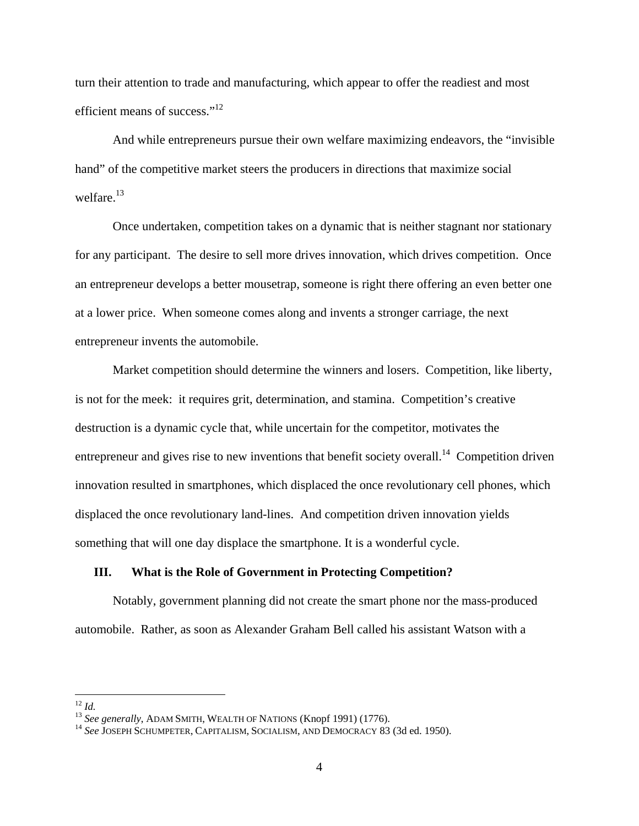efficient means of success."<sup>12</sup> turn their attention to trade and manufacturing, which appear to offer the readiest and most

welfare.<sup>13</sup> And while entrepreneurs pursue their own welfare maximizing endeavors, the "invisible hand" of the competitive market steers the producers in directions that maximize social

Once undertaken, competition takes on a dynamic that is neither stagnant nor stationary for any participant. The desire to sell more drives innovation, which drives competition. Once an entrepreneur develops a better mousetrap, someone is right there offering an even better one at a lower price. When someone comes along and invents a stronger carriage, the next entrepreneur invents the automobile.

Market competition should determine the winners and losers. Competition, like liberty, is not for the meek: it requires grit, determination, and stamina. Competition's creative destruction is a dynamic cycle that, while uncertain for the competitor, motivates the entrepreneur and gives rise to new inventions that benefit society overall.<sup>14</sup> Competition driven innovation resulted in smartphones, which displaced the once revolutionary cell phones, which displaced the once revolutionary land-lines. And competition driven innovation yields something that will one day displace the smartphone. It is a wonderful cycle.

## **III. What is the Role of Government in Protecting Competition?**

Notably, government planning did not create the smart phone nor the mass-produced automobile. Rather, as soon as Alexander Graham Bell called his assistant Watson with a

<sup>&</sup>lt;u>.</u> <sup>12</sup>*Id.*

<sup>13</sup>*See generally*, ADAM SMITH, WEALTH OF NATIONS (Knopf 1991) (1776). 14 *See* JOSEPH SCHUMPETER, CAPITALISM, SOCIALISM, AND DEMOCRACY 83 (3d ed. 1950).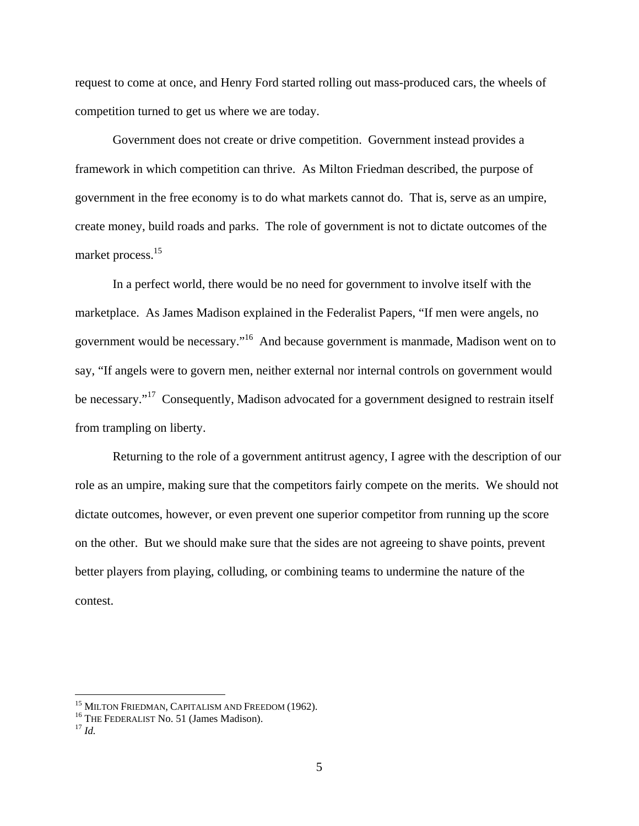request to come at once, and Henry Ford started rolling out mass-produced cars, the wheels of competition turned to get us where we are today.

market process.<sup>15</sup> Government does not create or drive competition. Government instead provides a framework in which competition can thrive. As Milton Friedman described, the purpose of government in the free economy is to do what markets cannot do. That is, serve as an umpire, create money, build roads and parks. The role of government is not to dictate outcomes of the

In a perfect world, there would be no need for government to involve itself with the marketplace. As James Madison explained in the Federalist Papers, "If men were angels, no government would be necessary."16 And because government is manmade, Madison went on to say, "If angels were to govern men, neither external nor internal controls on government would be necessary."<sup>17</sup> Consequently, Madison advocated for a government designed to restrain itself from trampling on liberty.

Returning to the role of a government antitrust agency, I agree with the description of our role as an umpire, making sure that the competitors fairly compete on the merits. We should not dictate outcomes, however, or even prevent one superior competitor from running up the score on the other. But we should make sure that the sides are not agreeing to shave points, prevent better players from playing, colluding, or combining teams to undermine the nature of the contest.

<u>.</u>

<sup>&</sup>lt;sup>15</sup> MILTON FRIEDMAN, CAPITALISM AND FREEDOM (1962).<br><sup>16</sup> THE FEDERALIST No. 51 (James Madison).<br><sup>17</sup> *Id*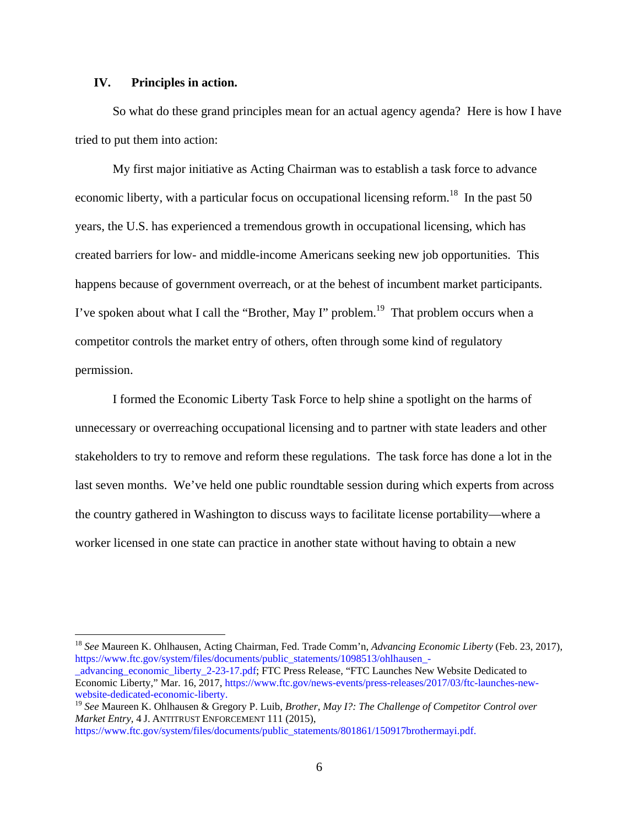## **IV. Principles in action.**

1

So what do these grand principles mean for an actual agency agenda? Here is how I have tried to put them into action:

My first major initiative as Acting Chairman was to establish a task force to advance economic liberty, with a particular focus on occupational licensing reform.<sup>18</sup> In the past 50 years, the U.S. has experienced a tremendous growth in occupational licensing, which has created barriers for low- and middle-income Americans seeking new job opportunities. This happens because of government overreach, or at the behest of incumbent market participants. I've spoken about what I call the "Brother, May I" problem.<sup>19</sup> That problem occurs when a competitor controls the market entry of others, often through some kind of regulatory permission.

I formed the Economic Liberty Task Force to help shine a spotlight on the harms of unnecessary or overreaching occupational licensing and to partner with state leaders and other stakeholders to try to remove and reform these regulations. The task force has done a lot in the last seven months. We've held one public roundtable session during which experts from across the country gathered in Washington to discuss ways to facilitate license portability—where a worker licensed in one state can practice in another state without having to obtain a new

<sup>18</sup>*See* Maureen K. Ohlhausen, Acting Chairman, Fed. Trade Comm'n, *Advancing Economic Liberty* (Feb. 23, 2017), https://www.ftc.gov/system/files/documents/public\_statements/1098513/ohlhausen\_-

\_advancing\_economic\_liberty\_2-23-17.pdf; FTC Press Release, "FTC Launches New Website Dedicated to Economic Liberty," Mar. 16, 2017, https://www.ftc.gov/news-events/press-releases/2017/03/ftc-launches-newwebsite-dedicated-economic-liberty.

 *Market Entry*, 4 J. ANTITRUST ENFORCEMENT 111 (2015), <sup>19</sup>*See* Maureen K. Ohlhausen & Gregory P. Luib, *Brother, May I?: The Challenge of Competitor Control over* 

https://www.ftc.gov/system/files/documents/public\_statements/801861/150917brothermayi.pdf.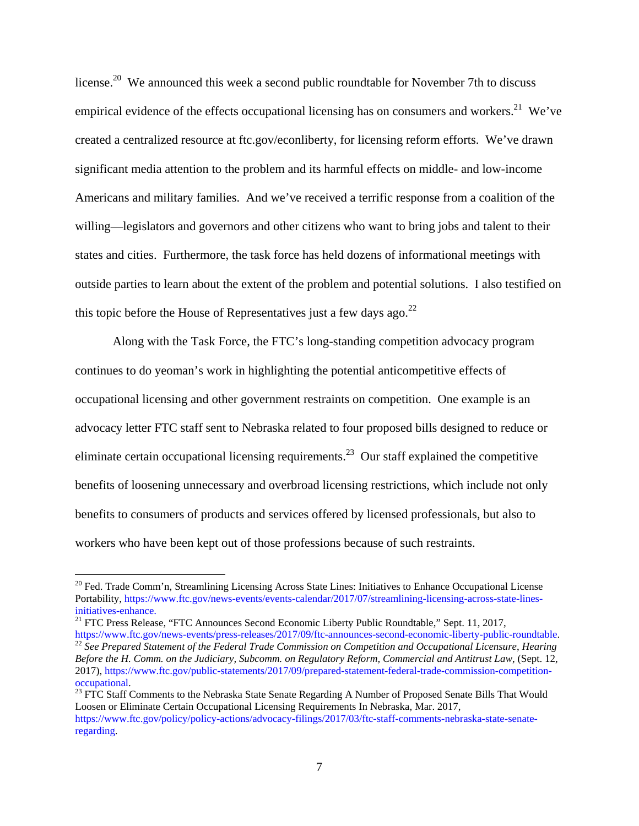license.<sup>20</sup> We announced this week a second public roundtable for November 7th to discuss empirical evidence of the effects occupational licensing has on consumers and workers.<sup>21</sup> We've created a centralized resource at ftc.gov/econliberty, for licensing reform efforts. We've drawn significant media attention to the problem and its harmful effects on middle- and low-income Americans and military families. And we've received a terrific response from a coalition of the willing—legislators and governors and other citizens who want to bring jobs and talent to their states and cities. Furthermore, the task force has held dozens of informational meetings with outside parties to learn about the extent of the problem and potential solutions. I also testified on this topic before the House of Representatives just a few days ago. $^{22}$ 

Along with the Task Force, the FTC's long-standing competition advocacy program continues to do yeoman's work in highlighting the potential anticompetitive effects of occupational licensing and other government restraints on competition. One example is an advocacy letter FTC staff sent to Nebraska related to four proposed bills designed to reduce or eliminate certain occupational licensing requirements.<sup>23</sup> Our staff explained the competitive benefits of loosening unnecessary and overbroad licensing restrictions, which include not only benefits to consumers of products and services offered by licensed professionals, but also to workers who have been kept out of those professions because of such restraints.

1

<sup>&</sup>lt;sup>20</sup> Fed. Trade Comm'n, Streamlining Licensing Across State Lines: Initiatives to Enhance Occupational License Portability, https://www.ftc.gov/news-events/events-calendar/2017/07/streamlining-licensing-across-state-linesinitiatives-enhance.

<sup>&</sup>lt;sup>21</sup> FTC Press Release, "FTC Announces Second Economic Liberty Public Roundtable," Sept. 11, 2017, https://www.ftc.gov/news-events/press-releases/2017/09/ftc-announces-second-economic-liberty-public-roundtable.

https://www.ftc.gov/news-events/press-releases/2017/09/ftc-announces-second-economic-liberty-public-roundtable.<br><sup>22</sup> See Prepared Statement of the Federal Trade Commission on Competition and Occupational Licensure, Hearing *Before the H. Comm. on the Judiciary, Subcomm. on Regulatory Reform, Commercial and Antitrust Law*, (Sept. 12, 2017), https://www.ftc.gov/public-statements/2017/09/prepared-statement-federal-trade-commission-competition-

<sup>&</sup>lt;sup>23</sup> FTC Staff Comments to the Nebraska State Senate Regarding A Number of Proposed Senate Bills That Would Loosen or Eliminate Certain Occupational Licensing Requirements In Nebraska, Mar. 2017, https://www.ftc.gov/policy/policy-actions/advocacy-filings/2017/03/ftc-staff-comments-nebraska-state-senateregarding.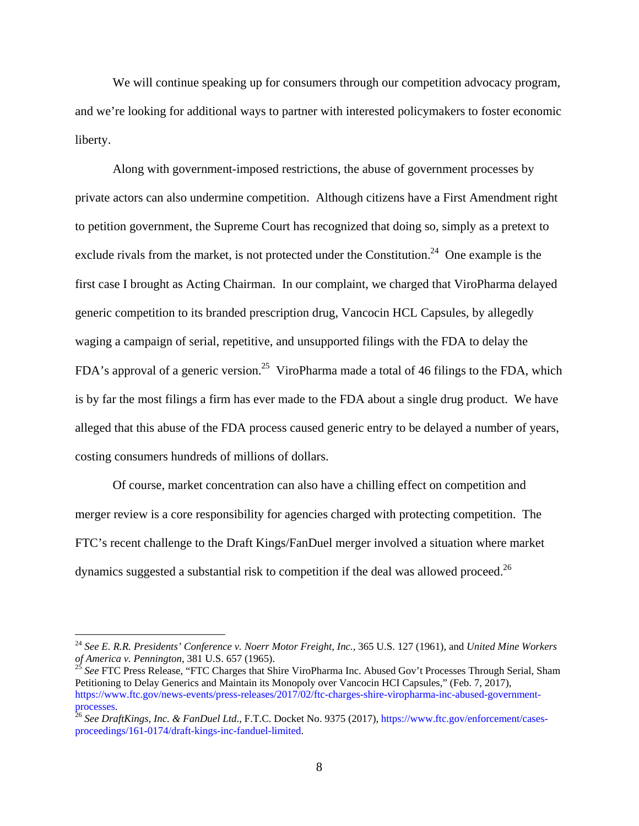We will continue speaking up for consumers through our competition advocacy program, and we're looking for additional ways to partner with interested policymakers to foster economic liberty.

Along with government-imposed restrictions, the abuse of government processes by private actors can also undermine competition. Although citizens have a First Amendment right to petition government, the Supreme Court has recognized that doing so, simply as a pretext to exclude rivals from the market, is not protected under the Constitution.<sup>24</sup> One example is the first case I brought as Acting Chairman. In our complaint, we charged that ViroPharma delayed generic competition to its branded prescription drug, Vancocin HCL Capsules, by allegedly waging a campaign of serial, repetitive, and unsupported filings with the FDA to delay the FDA's approval of a generic version.<sup>25</sup> ViroPharma made a total of 46 filings to the FDA, which is by far the most filings a firm has ever made to the FDA about a single drug product. We have alleged that this abuse of the FDA process caused generic entry to be delayed a number of years, costing consumers hundreds of millions of dollars.

dynamics suggested a substantial risk to competition if the deal was allowed proceed.<sup>26</sup> Of course, market concentration can also have a chilling effect on competition and merger review is a core responsibility for agencies charged with protecting competition. The FTC's recent challenge to the Draft Kings/FanDuel merger involved a situation where market

1

<sup>&</sup>lt;sup>24</sup> See E. R.R. Presidents' Conference v. Noerr Motor Freight, Inc., 365 U.S. 127 (1961), and *United Mine Workers* of America v. Pennington, 381 U.S. 657 (1965).

*of America v. Pennington*, 381 U.S. 657 (1965).<br><sup>25</sup> See FTC Press Release, "FTC Charges that Shire ViroPharma Inc. Abused Gov't Processes Through Serial, Sham Petitioning to Delay Generics and Maintain its Monopoly over Vancocin HCI Capsules," (Feb. 7, 2017), https://www.ftc.gov/news-events/press-releases/2017/02/ftc-charges-shire-viropharma-inc-abused-government-

<sup>&</sup>lt;sup>26</sup> See DraftKings, Inc. & FanDuel Ltd., F.T.C. Docket No. 9375 (2017), https://www.ftc.gov/enforcement/casesproceedings/161-0174/draft-kings-inc-fanduel-limited.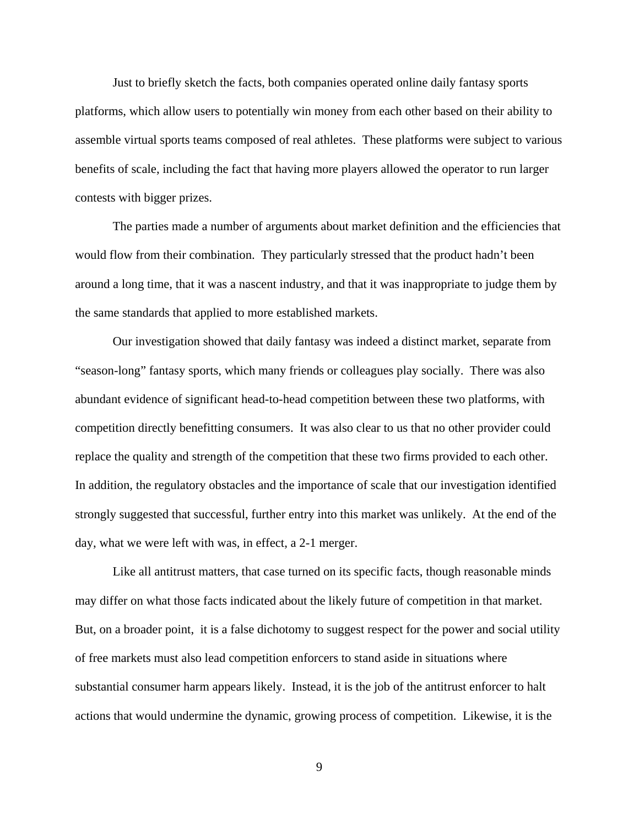Just to briefly sketch the facts, both companies operated online daily fantasy sports platforms, which allow users to potentially win money from each other based on their ability to assemble virtual sports teams composed of real athletes. These platforms were subject to various benefits of scale, including the fact that having more players allowed the operator to run larger contests with bigger prizes.

The parties made a number of arguments about market definition and the efficiencies that would flow from their combination. They particularly stressed that the product hadn't been around a long time, that it was a nascent industry, and that it was inappropriate to judge them by the same standards that applied to more established markets.

Our investigation showed that daily fantasy was indeed a distinct market, separate from "season-long" fantasy sports, which many friends or colleagues play socially. There was also abundant evidence of significant head-to-head competition between these two platforms, with competition directly benefitting consumers. It was also clear to us that no other provider could replace the quality and strength of the competition that these two firms provided to each other. In addition, the regulatory obstacles and the importance of scale that our investigation identified strongly suggested that successful, further entry into this market was unlikely. At the end of the day, what we were left with was, in effect, a 2-1 merger.

Like all antitrust matters, that case turned on its specific facts, though reasonable minds may differ on what those facts indicated about the likely future of competition in that market. But, on a broader point, it is a false dichotomy to suggest respect for the power and social utility of free markets must also lead competition enforcers to stand aside in situations where substantial consumer harm appears likely. Instead, it is the job of the antitrust enforcer to halt actions that would undermine the dynamic, growing process of competition. Likewise, it is the

9